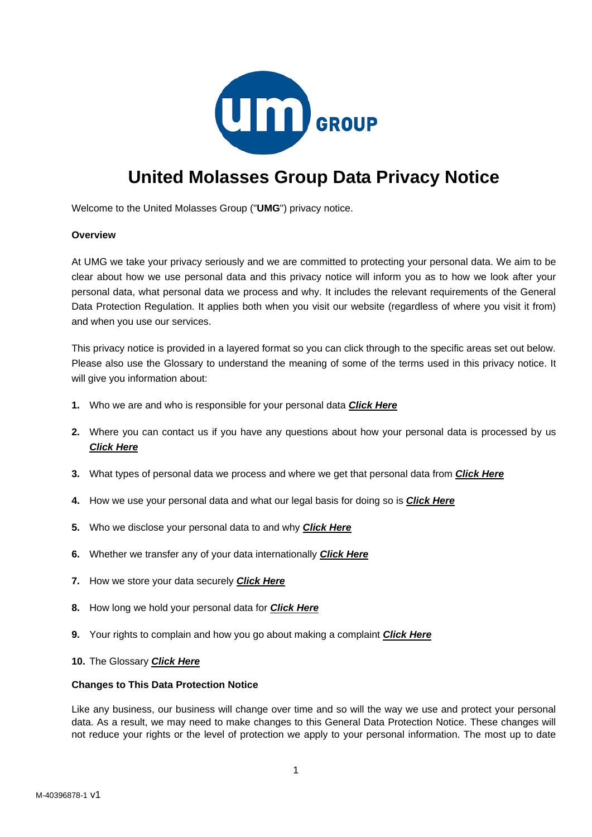

# **United Molasses Group Data Privacy Notice**

Welcome to the United Molasses Group ("**UMG**") privacy notice.

## **Overview**

At UMG we take your privacy seriously and we are committed to protecting your personal data. We aim to be clear about how we use personal data and this privacy notice will inform you as to how we look after your personal data, what personal data we process and why. It includes the relevant requirements of the General Data Protection Regulation. It applies both when you visit our website (regardless of where you visit it from) and when you use our services.

This privacy notice is provided in a layered format so you can click through to the specific areas set out below. Please also use the Glossary to understand the meaning of some of the terms used in this privacy notice. It will give you information about:

- **1.** Who we are and who is responsible for your personal data *[Click Here](#page-1-0)*
- **2.** Where you can contact us if you have any questions about how your personal data is processed by us *[Click Here](#page-1-1)*
- **3.** What types of personal data we process and where we get that personal data from *[Click Here](#page-1-2)*
- **4.** How we use your personal data and what our legal basis for doing so is *[Click Here](#page-2-0)*
- **5.** Who we disclose your personal data to and why *[Click Here](#page-5-0)*
- **6.** Whether we transfer any of your data internationally *[Click Here](#page-5-1)*
- **7.** How we store your data securely *[Click Here](#page-5-2)*
- **8.** How long we hold your personal data for *[Click Here](#page-6-0)*
- **9.** Your rights to complain and how you go about making a complaint *[Click Here](#page-6-1)*
- **10.** The Glossary *[Click](#page-8-0) Here*

#### **Changes to This Data Protection Notice**

Like any business, our business will change over time and so will the way we use and protect your personal data. As a result, we may need to make changes to this General Data Protection Notice. These changes will not reduce your rights or the level of protection we apply to your personal information. The most up to date

M-40396878-1 v1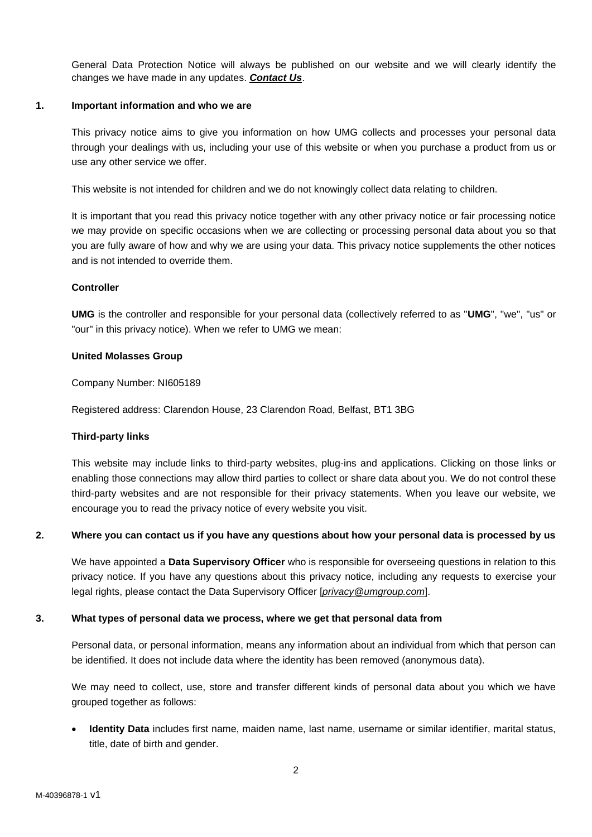General Data Protection Notice will always be published on our website and we will clearly identify the changes we have made in any updates. *[Contact Us](https://www.umgroup.com/contact-us)*.

#### <span id="page-1-0"></span>**1. Important information and who we are**

This privacy notice aims to give you information on how UMG collects and processes your personal data through your dealings with us, including your use of this website or when you purchase a product from us or use any other service we offer.

This website is not intended for children and we do not knowingly collect data relating to children.

It is important that you read this privacy notice together with any other privacy notice or fair processing notice we may provide on specific occasions when we are collecting or processing personal data about you so that you are fully aware of how and why we are using your data. This privacy notice supplements the other notices and is not intended to override them.

## **Controller**

**UMG** is the controller and responsible for your personal data (collectively referred to as "**UMG**", "we", "us" or "our" in this privacy notice). When we refer to UMG we mean:

## **United Molasses Group**

Company Number: NI605189

Registered address: Clarendon House, 23 Clarendon Road, Belfast, BT1 3BG

#### **Third-party links**

This website may include links to third-party websites, plug-ins and applications. Clicking on those links or enabling those connections may allow third parties to collect or share data about you. We do not control these third-party websites and are not responsible for their privacy statements. When you leave our website, we encourage you to read the privacy notice of every website you visit.

# <span id="page-1-1"></span>**2. Where you can contact us if you have any questions about how your personal data is processed by us**

We have appointed a **Data Supervisory Officer** who is responsible for overseeing questions in relation to this privacy notice. If you have any questions about this privacy notice, including any requests to exercise your legal rights, please contact the Data Supervisory Officer [*[privacy@umgroup.com](mailto:privacy@umgroup.com)*].

# <span id="page-1-2"></span>**3. What types of personal data we process, where we get that personal data from**

Personal data, or personal information, means any information about an individual from which that person can be identified. It does not include data where the identity has been removed (anonymous data).

We may need to collect, use, store and transfer different kinds of personal data about you which we have grouped together as follows:

 **Identity Data** includes first name, maiden name, last name, username or similar identifier, marital status, title, date of birth and gender.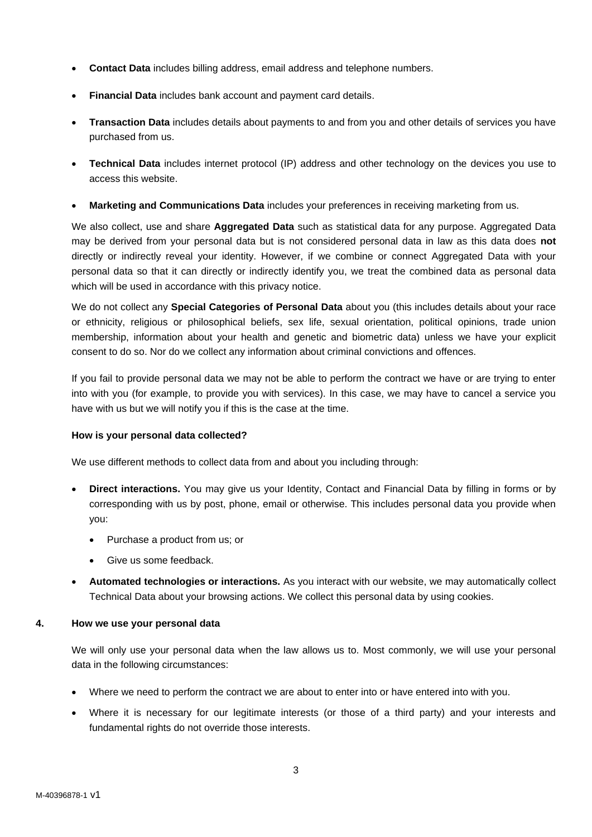- **Contact Data** includes billing address, email address and telephone numbers.
- **Financial Data** includes bank account and payment card details.
- **Transaction Data** includes details about payments to and from you and other details of services you have purchased from us.
- **Technical Data** includes internet protocol (IP) address and other technology on the devices you use to access this website.
- **Marketing and Communications Data** includes your preferences in receiving marketing from us.

We also collect, use and share **Aggregated Data** such as statistical data for any purpose. Aggregated Data may be derived from your personal data but is not considered personal data in law as this data does **not** directly or indirectly reveal your identity. However, if we combine or connect Aggregated Data with your personal data so that it can directly or indirectly identify you, we treat the combined data as personal data which will be used in accordance with this privacy notice.

We do not collect any **Special Categories of Personal Data** about you (this includes details about your race or ethnicity, religious or philosophical beliefs, sex life, sexual orientation, political opinions, trade union membership, information about your health and genetic and biometric data) unless we have your explicit consent to do so. Nor do we collect any information about criminal convictions and offences.

If you fail to provide personal data we may not be able to perform the contract we have or are trying to enter into with you (for example, to provide you with services). In this case, we may have to cancel a service you have with us but we will notify you if this is the case at the time.

# **How is your personal data collected?**

We use different methods to collect data from and about you including through:

- **Direct interactions.** You may give us your Identity, Contact and Financial Data by filling in forms or by corresponding with us by post, phone, email or otherwise. This includes personal data you provide when you:
	- Purchase a product from us; or
	- Give us some feedback.
- **Automated technologies or interactions.** As you interact with our website, we may automatically collect Technical Data about your browsing actions. We collect this personal data by using cookies.

# <span id="page-2-0"></span>**4. How we use your personal data**

We will only use your personal data when the law allows us to. Most commonly, we will use your personal data in the following circumstances:

- Where we need to perform the contract we are about to enter into or have entered into with you.
- Where it is necessary for our legitimate interests (or those of a third party) and your interests and fundamental rights do not override those interests.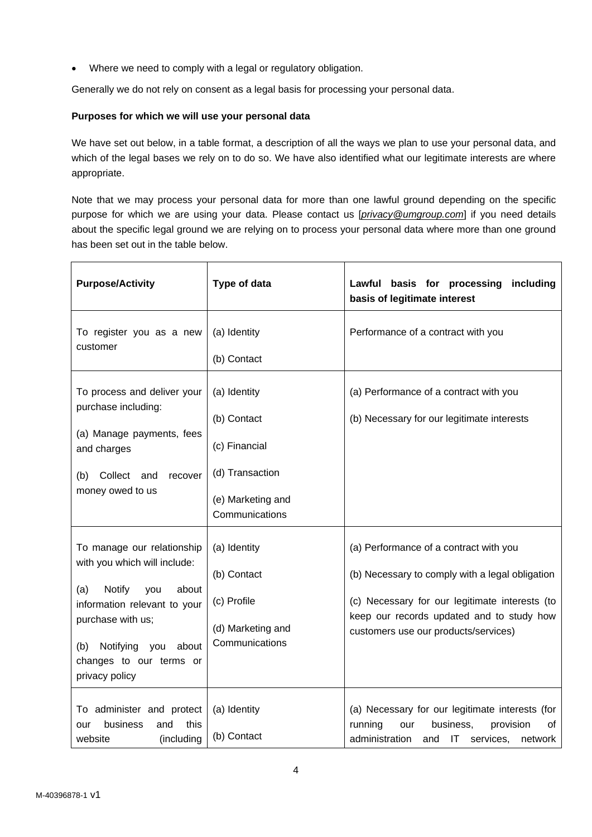Where we need to comply with a legal or regulatory obligation.

Generally we do not rely on consent as a legal basis for processing your personal data.

# **Purposes for which we will use your personal data**

We have set out below, in a table format, a description of all the ways we plan to use your personal data, and which of the legal bases we rely on to do so. We have also identified what our legitimate interests are where appropriate.

Note that we may process your personal data for more than one lawful ground depending on the specific purpose for which we are using your data. Please contact us [*[privacy@umgroup.com](mailto:privacy@umgroup.com)*] if you need details about the specific legal ground we are relying on to process your personal data where more than one ground has been set out in the table below.

| <b>Purpose/Activity</b>                                                                                                                                                                                                               | Type of data                                                                                           | Lawful basis for processing including<br>basis of legitimate interest                                                                                                                                                            |
|---------------------------------------------------------------------------------------------------------------------------------------------------------------------------------------------------------------------------------------|--------------------------------------------------------------------------------------------------------|----------------------------------------------------------------------------------------------------------------------------------------------------------------------------------------------------------------------------------|
| To register you as a new<br>customer                                                                                                                                                                                                  | (a) Identity<br>(b) Contact                                                                            | Performance of a contract with you                                                                                                                                                                                               |
| To process and deliver your<br>purchase including:<br>(a) Manage payments, fees<br>and charges<br>Collect<br>(b)<br>and<br>recover<br>money owed to us                                                                                | (a) Identity<br>(b) Contact<br>(c) Financial<br>(d) Transaction<br>(e) Marketing and<br>Communications | (a) Performance of a contract with you<br>(b) Necessary for our legitimate interests                                                                                                                                             |
| To manage our relationship<br>with you which will include:<br><b>Notify</b><br>(a)<br>you<br>about<br>information relevant to your<br>purchase with us;<br>Notifying you<br>about<br>(b)<br>changes to our terms or<br>privacy policy | (a) Identity<br>(b) Contact<br>(c) Profile<br>(d) Marketing and<br>Communications                      | (a) Performance of a contract with you<br>(b) Necessary to comply with a legal obligation<br>(c) Necessary for our legitimate interests (to<br>keep our records updated and to study how<br>customers use our products/services) |
| To administer and protect<br>business<br>this<br>and<br>our<br>(including<br>website                                                                                                                                                  | (a) Identity<br>(b) Contact                                                                            | (a) Necessary for our legitimate interests (for<br>running<br>business,<br>provision<br>of<br>our<br>administration<br>$\mathsf{I}$<br>services,<br>and<br>network                                                               |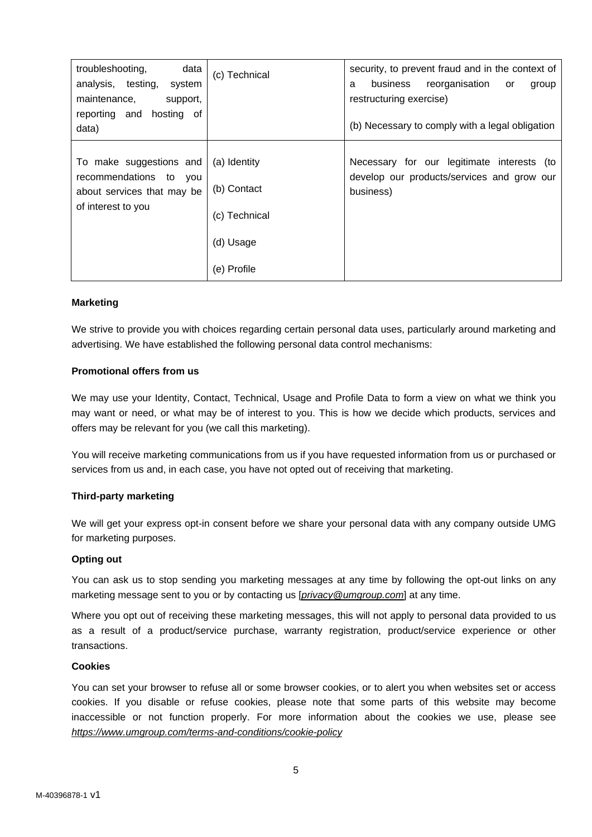| troubleshooting,<br>data<br>analysis, testing, system<br>maintenance,<br>support,<br>reporting and hosting of<br>data) | (c) Technical                                                            | security, to prevent fraud and in the context of<br>business<br>reorganisation<br>or<br>group<br>a<br>restructuring exercise)<br>(b) Necessary to comply with a legal obligation |
|------------------------------------------------------------------------------------------------------------------------|--------------------------------------------------------------------------|----------------------------------------------------------------------------------------------------------------------------------------------------------------------------------|
| To make suggestions and<br>recommendations to you<br>about services that may be<br>of interest to you                  | (a) Identity<br>(b) Contact<br>(c) Technical<br>(d) Usage<br>(e) Profile | Necessary for our legitimate interests (to<br>develop our products/services and grow our<br>business)                                                                            |

## **Marketing**

We strive to provide you with choices regarding certain personal data uses, particularly around marketing and advertising. We have established the following personal data control mechanisms:

## **Promotional offers from us**

We may use your Identity, Contact, Technical, Usage and Profile Data to form a view on what we think you may want or need, or what may be of interest to you. This is how we decide which products, services and offers may be relevant for you (we call this marketing).

You will receive marketing communications from us if you have requested information from us or purchased or services from us and, in each case, you have not opted out of receiving that marketing.

# **Third-party marketing**

We will get your express opt-in consent before we share your personal data with any company outside UMG for marketing purposes.

## **Opting out**

You can ask us to stop sending you marketing messages at any time by following the opt-out links on any marketing message sent to you or by contacting us [*[privacy@umgroup.com](mailto:privacy@umgroup.com)*] at any time.

Where you opt out of receiving these marketing messages, this will not apply to personal data provided to us as a result of a product/service purchase, warranty registration, product/service experience or other transactions.

#### **Cookies**

You can set your browser to refuse all or some browser cookies, or to alert you when websites set or access cookies. If you disable or refuse cookies, please note that some parts of this website may become inaccessible or not function properly. For more information about the cookies we use, please see *<https://www.umgroup.com/terms-and-conditions/cookie-policy>*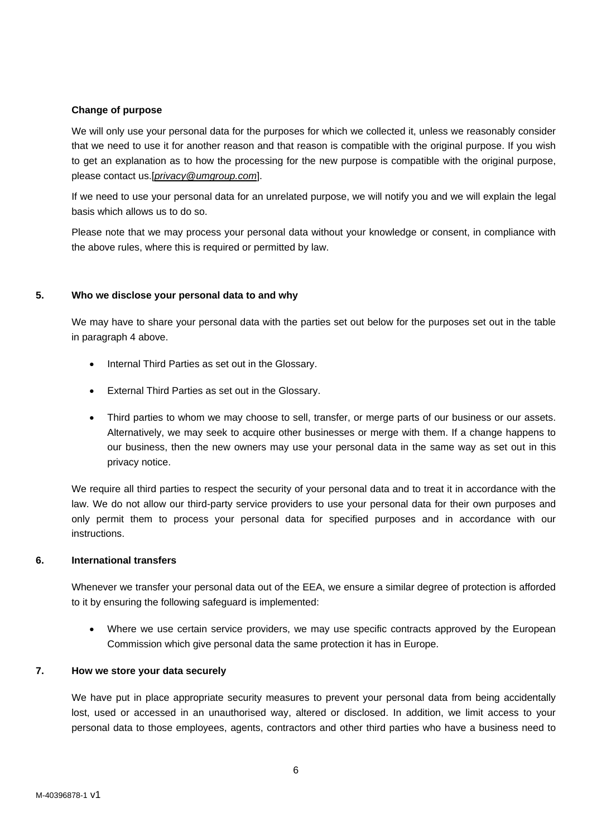## **Change of purpose**

We will only use your personal data for the purposes for which we collected it, unless we reasonably consider that we need to use it for another reason and that reason is compatible with the original purpose. If you wish to get an explanation as to how the processing for the new purpose is compatible with the original purpose, please contact us.[*[privacy@umgroup.com](mailto:privacy@umgroup.com)*].

If we need to use your personal data for an unrelated purpose, we will notify you and we will explain the legal basis which allows us to do so.

Please note that we may process your personal data without your knowledge or consent, in compliance with the above rules, where this is required or permitted by law.

## <span id="page-5-0"></span>**5. Who we disclose your personal data to and why**

We may have to share your personal data with the parties set out below for the purposes set out in the table in paragraph 4 above.

- Internal Third Parties as set out in the Glossary.
- External Third Parties as set out in the Glossary.
- Third parties to whom we may choose to sell, transfer, or merge parts of our business or our assets. Alternatively, we may seek to acquire other businesses or merge with them. If a change happens to our business, then the new owners may use your personal data in the same way as set out in this privacy notice.

We require all third parties to respect the security of your personal data and to treat it in accordance with the law. We do not allow our third-party service providers to use your personal data for their own purposes and only permit them to process your personal data for specified purposes and in accordance with our instructions.

#### <span id="page-5-1"></span>**6. International transfers**

Whenever we transfer your personal data out of the EEA, we ensure a similar degree of protection is afforded to it by ensuring the following safeguard is implemented:

 Where we use certain service providers, we may use specific contracts approved by the European Commission which give personal data the same protection it has in Europe.

# <span id="page-5-2"></span>**7. How we store your data securely**

We have put in place appropriate security measures to prevent your personal data from being accidentally lost, used or accessed in an unauthorised way, altered or disclosed. In addition, we limit access to your personal data to those employees, agents, contractors and other third parties who have a business need to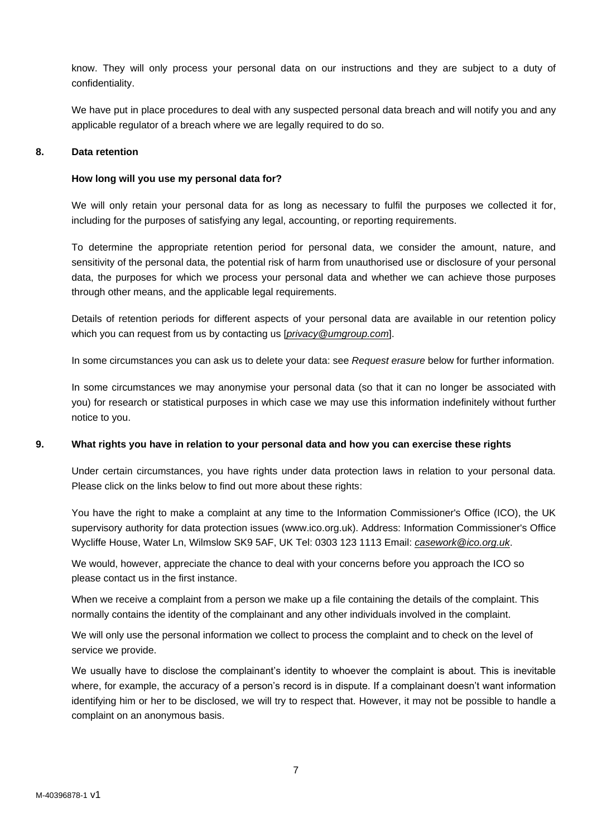know. They will only process your personal data on our instructions and they are subject to a duty of confidentiality.

We have put in place procedures to deal with any suspected personal data breach and will notify you and any applicable regulator of a breach where we are legally required to do so.

#### <span id="page-6-0"></span>**8. Data retention**

#### **How long will you use my personal data for?**

We will only retain your personal data for as long as necessary to fulfil the purposes we collected it for, including for the purposes of satisfying any legal, accounting, or reporting requirements.

To determine the appropriate retention period for personal data, we consider the amount, nature, and sensitivity of the personal data, the potential risk of harm from unauthorised use or disclosure of your personal data, the purposes for which we process your personal data and whether we can achieve those purposes through other means, and the applicable legal requirements.

Details of retention periods for different aspects of your personal data are available in our retention policy which you can request from us by contacting us [*[privacy@umgroup.com](mailto:privacy@umgroup.com)*].

In some circumstances you can ask us to delete your data: see *Request erasure* below for further information.

In some circumstances we may anonymise your personal data (so that it can no longer be associated with you) for research or statistical purposes in which case we may use this information indefinitely without further notice to you.

#### <span id="page-6-1"></span>**9. What rights you have in relation to your personal data and how you can exercise these rights**

Under certain circumstances, you have rights under data protection laws in relation to your personal data. Please click on the links below to find out more about these rights:

You have the right to make a complaint at any time to the Information Commissioner's Office (ICO), the UK supervisory authority for data protection issues (www.ico.org.uk). Address: Information Commissioner's Office Wycliffe House, Water Ln, Wilmslow SK9 5AF, UK Tel: 0303 123 1113 Email: *[casework@ico.org.uk](mailto:casework@ico.org.uk)*.

We would, however, appreciate the chance to deal with your concerns before you approach the ICO so please contact us in the first instance.

When we receive a complaint from a person we make up a file containing the details of the complaint. This normally contains the identity of the complainant and any other individuals involved in the complaint.

We will only use the personal information we collect to process the complaint and to check on the level of service we provide.

We usually have to disclose the complainant's identity to whoever the complaint is about. This is inevitable where, for example, the accuracy of a person's record is in dispute. If a complainant doesn't want information identifying him or her to be disclosed, we will try to respect that. However, it may not be possible to handle a complaint on an anonymous basis.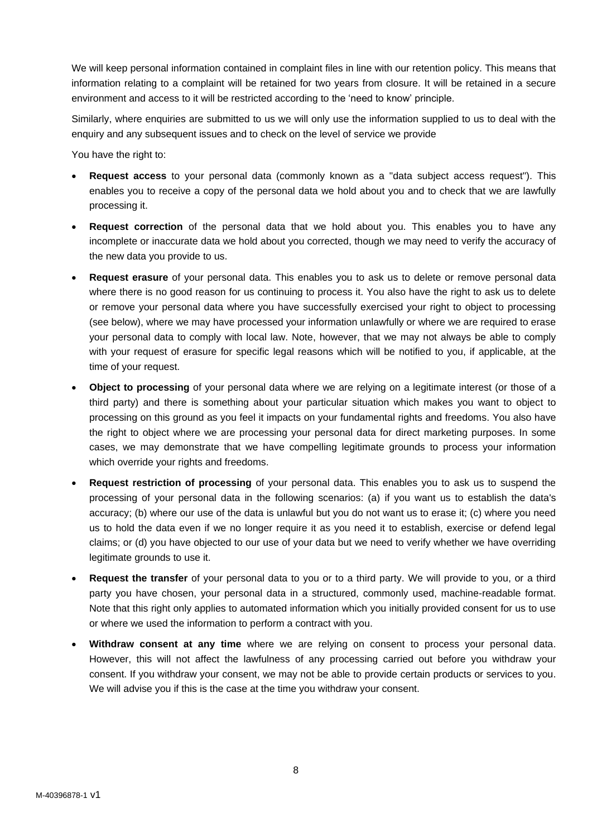We will keep personal information contained in complaint files in line with our retention policy. This means that information relating to a complaint will be retained for two years from closure. It will be retained in a secure environment and access to it will be restricted according to the 'need to know' principle.

Similarly, where enquiries are submitted to us we will only use the information supplied to us to deal with the enquiry and any subsequent issues and to check on the level of service we provide

You have the right to:

- **Request access** to your personal data (commonly known as a "data subject access request"). This enables you to receive a copy of the personal data we hold about you and to check that we are lawfully processing it.
- **Request correction** of the personal data that we hold about you. This enables you to have any incomplete or inaccurate data we hold about you corrected, though we may need to verify the accuracy of the new data you provide to us.
- **Request erasure** of your personal data. This enables you to ask us to delete or remove personal data where there is no good reason for us continuing to process it. You also have the right to ask us to delete or remove your personal data where you have successfully exercised your right to object to processing (see below), where we may have processed your information unlawfully or where we are required to erase your personal data to comply with local law. Note, however, that we may not always be able to comply with your request of erasure for specific legal reasons which will be notified to you, if applicable, at the time of your request.
- **Object to processing** of your personal data where we are relying on a legitimate interest (or those of a third party) and there is something about your particular situation which makes you want to object to processing on this ground as you feel it impacts on your fundamental rights and freedoms. You also have the right to object where we are processing your personal data for direct marketing purposes. In some cases, we may demonstrate that we have compelling legitimate grounds to process your information which override your rights and freedoms.
- **Request restriction of processing** of your personal data. This enables you to ask us to suspend the processing of your personal data in the following scenarios: (a) if you want us to establish the data's accuracy; (b) where our use of the data is unlawful but you do not want us to erase it; (c) where you need us to hold the data even if we no longer require it as you need it to establish, exercise or defend legal claims; or (d) you have objected to our use of your data but we need to verify whether we have overriding legitimate grounds to use it.
- **Request the transfer** of your personal data to you or to a third party. We will provide to you, or a third party you have chosen, your personal data in a structured, commonly used, machine-readable format. Note that this right only applies to automated information which you initially provided consent for us to use or where we used the information to perform a contract with you.
- **Withdraw consent at any time** where we are relying on consent to process your personal data. However, this will not affect the lawfulness of any processing carried out before you withdraw your consent. If you withdraw your consent, we may not be able to provide certain products or services to you. We will advise you if this is the case at the time you withdraw your consent.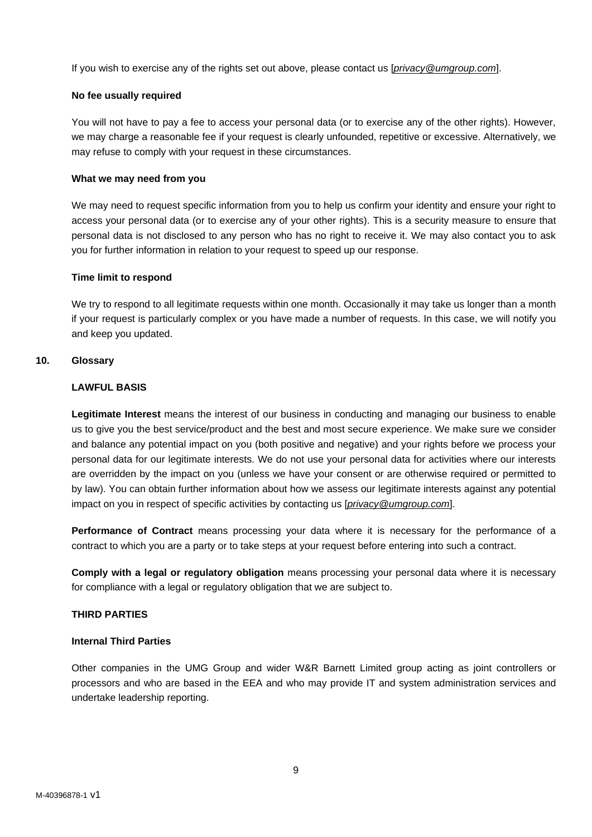If you wish to exercise any of the rights set out above, please contact us [*[privacy@umgroup.com](mailto:privacy@umgroup.com)*].

## **No fee usually required**

You will not have to pay a fee to access your personal data (or to exercise any of the other rights). However, we may charge a reasonable fee if your request is clearly unfounded, repetitive or excessive. Alternatively, we may refuse to comply with your request in these circumstances.

## **What we may need from you**

We may need to request specific information from you to help us confirm your identity and ensure your right to access your personal data (or to exercise any of your other rights). This is a security measure to ensure that personal data is not disclosed to any person who has no right to receive it. We may also contact you to ask you for further information in relation to your request to speed up our response.

## **Time limit to respond**

We try to respond to all legitimate requests within one month. Occasionally it may take us longer than a month if your request is particularly complex or you have made a number of requests. In this case, we will notify you and keep you updated.

## <span id="page-8-0"></span>**10. Glossary**

## **LAWFUL BASIS**

**Legitimate Interest** means the interest of our business in conducting and managing our business to enable us to give you the best service/product and the best and most secure experience. We make sure we consider and balance any potential impact on you (both positive and negative) and your rights before we process your personal data for our legitimate interests. We do not use your personal data for activities where our interests are overridden by the impact on you (unless we have your consent or are otherwise required or permitted to by law). You can obtain further information about how we assess our legitimate interests against any potential impact on you in respect of specific activities by contacting us [*[privacy@umgroup.com](mailto:privacy@umgroup.com)*].

**Performance of Contract** means processing your data where it is necessary for the performance of a contract to which you are a party or to take steps at your request before entering into such a contract.

**Comply with a legal or regulatory obligation** means processing your personal data where it is necessary for compliance with a legal or regulatory obligation that we are subject to.

# **THIRD PARTIES**

# **Internal Third Parties**

Other companies in the UMG Group and wider W&R Barnett Limited group acting as joint controllers or processors and who are based in the EEA and who may provide IT and system administration services and undertake leadership reporting.